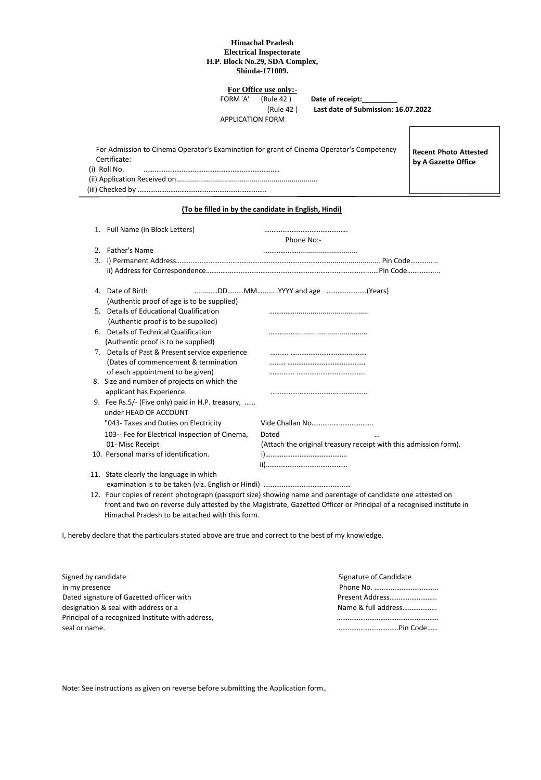## **Himachal Pradesh Electrical Inspectorate H.P. Block No.29, SDA Complex, Shimla-171009.**

**For Office use only:-**

FORM 'A' (Rule 42) **Date of receipt:** 

APPLICATION FORM

(Rule 42 ) **Last date of Submission: 16.07.2022**

|              | For Admission to Cinema Operator's Examination for grant of Cinema Operator's Competency |  |
|--------------|------------------------------------------------------------------------------------------|--|
| Certificate: |                                                                                          |  |
| (i) Roll No. |                                                                                          |  |
|              |                                                                                          |  |
|              |                                                                                          |  |

**Recent Photo Attested by A Gazette Office**

## **(To be filled in by the candidate in English, Hindi)**

| 1. Full Name (in Block Letters)                  | Phone No:-                                                       |
|--------------------------------------------------|------------------------------------------------------------------|
| 2. Father's Name                                 |                                                                  |
|                                                  |                                                                  |
|                                                  |                                                                  |
| 4. Date of Birth                                 |                                                                  |
| (Authentic proof of age is to be supplied)       |                                                                  |
| 5. Details of Educational Qualification          |                                                                  |
| (Authentic proof is to be supplied)              |                                                                  |
| 6. Details of Technical Qualification            |                                                                  |
| (Authentic proof is to be supplied)              |                                                                  |
| 7. Details of Past & Present service experience  |                                                                  |
| (Dates of commencement & termination             |                                                                  |
| of each appointment to be given)                 |                                                                  |
| 8. Size and number of projects on which the      |                                                                  |
| applicant has Experience.                        |                                                                  |
| 9. Fee Rs.5/- (Five only) paid in H.P. treasury, |                                                                  |
| under HEAD OF ACCOUNT                            |                                                                  |
| "043- Taxes and Duties on Electricity            |                                                                  |
| 103-- Fee for Electrical Inspection of Cinema,   | Dated                                                            |
| 01- Misc Receipt                                 | (Attach the original treasury receipt with this admission form). |
| 10. Personal marks of identification.            |                                                                  |
|                                                  |                                                                  |
| 11. State clearly the language in which          |                                                                  |
|                                                  |                                                                  |

 12. Four copies of recent photograph (passport size) showing name and parentage of candidate one attested on front and two on reverse duly attested by the Magistrate, Gazetted Officer or Principal of a recognised institute in Himachal Pradesh to be attached with this form.

I, hereby declare that the particulars stated above are true and correct to the best of my knowledge.

| Signed by candidate                               | Signature of Candidate |
|---------------------------------------------------|------------------------|
| in my presence                                    |                        |
| Dated signature of Gazetted officer with          | Present Address        |
| designation & seal with address or a              | Name & full address    |
| Principal of a recognized Institute with address, |                        |
| seal or name.                                     |                        |

Note: See instructions as given on reverse before submitting the Application form.